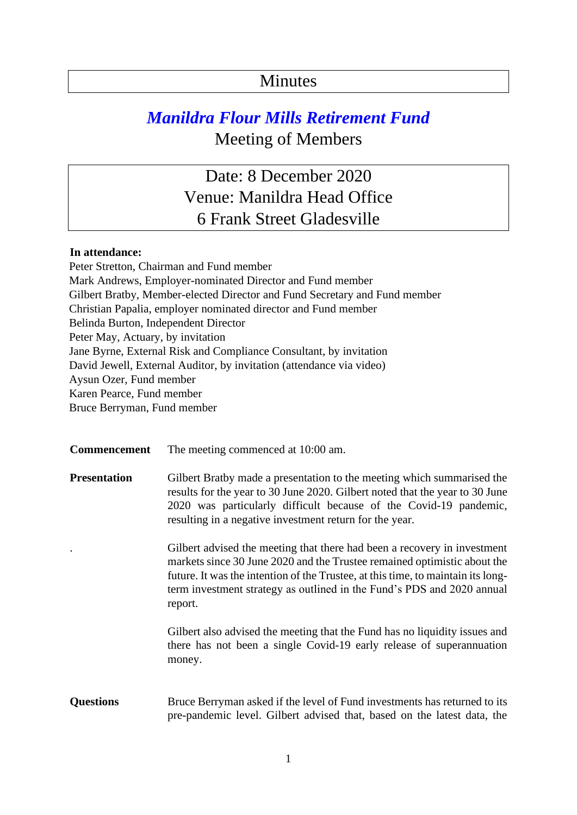## Minutes

## *Manildra Flour Mills Retirement Fund*  Meeting of Members

Date: 8 December 2020 Venue: Manildra Head Office 6 Frank Street Gladesville

## **In attendance:**

Peter Stretton, Chairman and Fund member Mark Andrews, Employer-nominated Director and Fund member Gilbert Bratby, Member-elected Director and Fund Secretary and Fund member Christian Papalia, employer nominated director and Fund member Belinda Burton, Independent Director Peter May, Actuary, by invitation Jane Byrne, External Risk and Compliance Consultant, by invitation David Jewell, External Auditor, by invitation (attendance via video) Aysun Ozer, Fund member Karen Pearce, Fund member Bruce Berryman, Fund member

**Commencement** The meeting commenced at 10:00 am.

**Presentation** Gilbert Bratby made a presentation to the meeting which summarised the results for the year to 30 June 2020. Gilbert noted that the year to 30 June 2020 was particularly difficult because of the Covid-19 pandemic, resulting in a negative investment return for the year.

> . Gilbert advised the meeting that there had been a recovery in investment markets since 30 June 2020 and the Trustee remained optimistic about the future. It was the intention of the Trustee, at this time, to maintain its longterm investment strategy as outlined in the Fund's PDS and 2020 annual report.

> Gilbert also advised the meeting that the Fund has no liquidity issues and there has not been a single Covid-19 early release of superannuation money.

## **Questions** Bruce Berryman asked if the level of Fund investments has returned to its pre-pandemic level. Gilbert advised that, based on the latest data, the